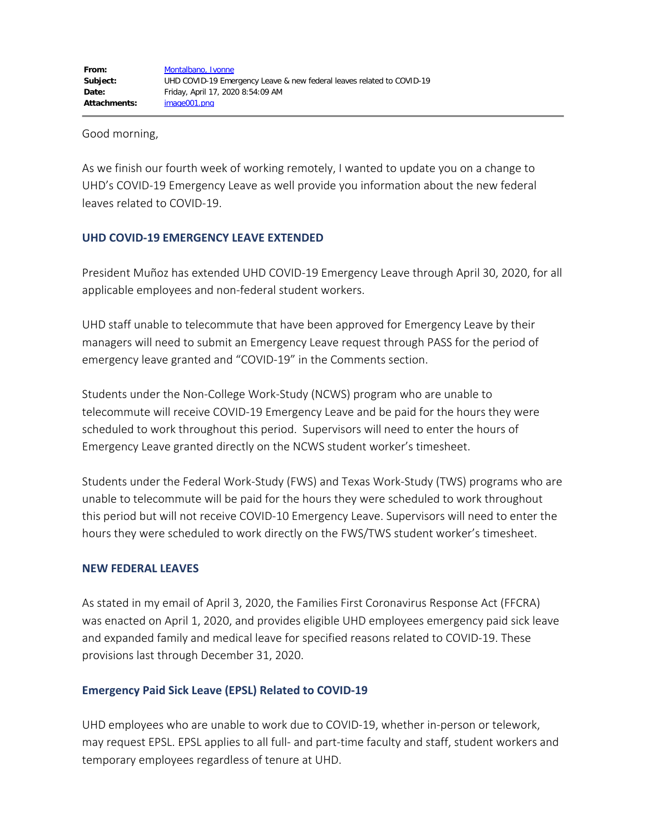Good morning,

As we finish our fourth week of working remotely, I wanted to update you on a change to UHD's COVID-19 Emergency Leave as well provide you information about the new federal leaves related to COVID-19.

# **UHD COVID-19 EMERGENCY LEAVE EXTENDED**

President Muñoz has extended UHD COVID-19 Emergency Leave through April 30, 2020, for all applicable employees and non-federal student workers.

UHD staff unable to telecommute that have been approved for Emergency Leave by their managers will need to submit an Emergency Leave request through PASS for the period of emergency leave granted and "COVID-19" in the Comments section.

Students under the Non-College Work-Study (NCWS) program who are unable to telecommute will receive COVID-19 Emergency Leave and be paid for the hours they were scheduled to work throughout this period. Supervisors will need to enter the hours of Emergency Leave granted directly on the NCWS student worker's timesheet.

Students under the Federal Work-Study (FWS) and Texas Work-Study (TWS) programs who are unable to telecommute will be paid for the hours they were scheduled to work throughout this period but will not receive COVID-10 Emergency Leave. Supervisors will need to enter the hours they were scheduled to work directly on the FWS/TWS student worker's timesheet.

# **NEW FEDERAL LEAVES**

As stated in my email of April 3, 2020, the Families First Coronavirus Response Act (FFCRA) was enacted on April 1, 2020, and provides eligible UHD employees emergency paid sick leave and expanded family and medical leave for specified reasons related to COVID-19. These provisions last through December 31, 2020.

# **Emergency Paid Sick Leave (EPSL) Related to COVID-19**

UHD employees who are unable to work due to COVID-19, whether in-person or telework, may request EPSL. EPSL applies to all full- and part-time faculty and staff, student workers and temporary employees regardless of tenure at UHD.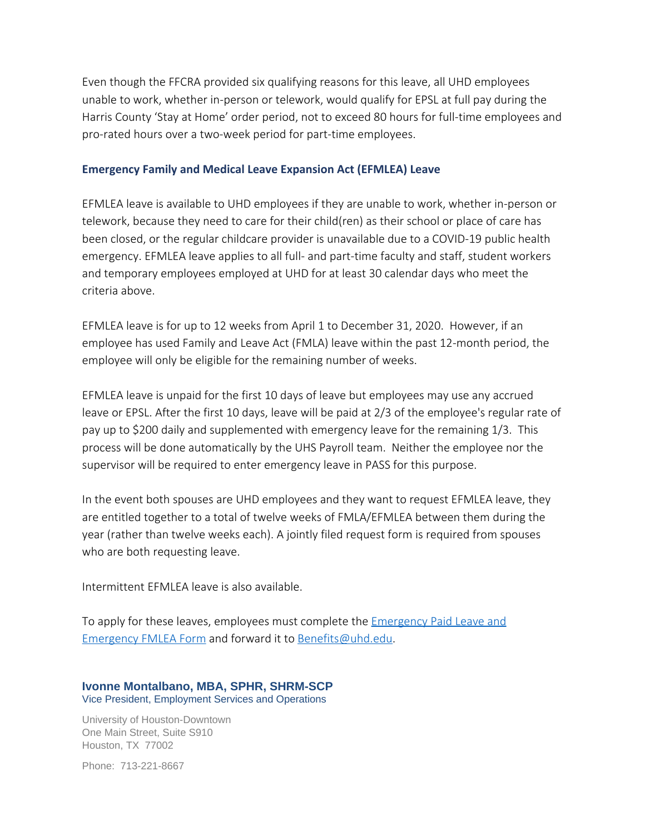Even though the FFCRA provided six qualifying reasons for this leave, all UHD employees unable to work, whether in-person or telework, would qualify for EPSL at full pay during the Harris County 'Stay at Home' order period, not to exceed 80 hours for full-time employees and pro-rated hours over a two-week period for part-time employees.

### **Emergency Family and Medical Leave Expansion Act (EFMLEA) Leave**

EFMLEA leave is available to UHD employees if they are unable to work, whether in-person or telework, because they need to care for their child(ren) as their school or place of care has been closed, or the regular childcare provider is unavailable due to a COVID-19 public health emergency. EFMLEA leave applies to all full- and part-time faculty and staff, student workers and temporary employees employed at UHD for at least 30 calendar days who meet the criteria above.

EFMLEA leave is for up to 12 weeks from April 1 to December 31, 2020. However, if an employee has used Family and Leave Act (FMLA) leave within the past 12-month period, the employee will only be eligible for the remaining number of weeks.

EFMLEA leave is unpaid for the first 10 days of leave but employees may use any accrued leave or EPSL. After the first 10 days, leave will be paid at 2/3 of the employee's regular rate of pay up to \$200 daily and supplemented with emergency leave for the remaining 1/3. This process will be done automatically by the UHS Payroll team. Neither the employee nor the supervisor will be required to enter emergency leave in PASS for this purpose.

In the event both spouses are UHD employees and they want to request EFMLEA leave, they are entitled together to a total of twelve weeks of FMLA/EFMLEA between them during the year (rather than twelve weeks each). A jointly filed request form is required from spouses who are both requesting leave.

Intermittent EFMLEA leave is also available.

To apply for these leaves, employees must complete the [Emergency Paid Leave and](https://www.uhd.edu/administration/employment-services-operations/Documents/Emergency%20Paid%20Leave%20and%20Emergency%20FMLEA%20Form.pdf) [Emergency FMLEA Form](https://www.uhd.edu/administration/employment-services-operations/Documents/Emergency%20Paid%20Leave%20and%20Emergency%20FMLEA%20Form.pdf) and forward it to [Benefits@uhd.edu](mailto:Benefits@uhd.edu).

### **Ivonne Montalbano, MBA, SPHR, SHRM-SCP** Vice President, Employment Services and Operations

University of Houston-Downtown One Main Street, Suite S910 Houston, TX 77002

Phone: 713-221-8667